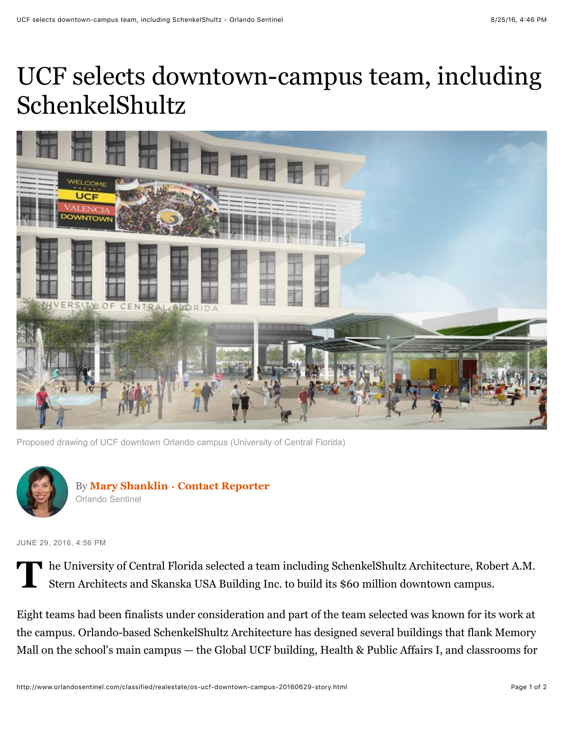## UCF selects downtown-campus team, including SchenkelShultz



Proposed drawing of UCF downtown Orlando campus (University of Central Florida)



JUNE 29, 2016, 4:56 PM

**T** he University of Central Florida selected a team including SchenkelShultz Architecture, Robert A.M. Stern Architects and Skanska USA Building Inc. to build its \$60 million downtown campus.

Eight teams had been finalists under consideration and part of the team selected was known for its work at the campus. Orlando-based SchenkelShultz Architecture has designed several buildings that flank Memory Mall on the school's main campus — the Global UCF building, Health & Public Affairs I, and classrooms for